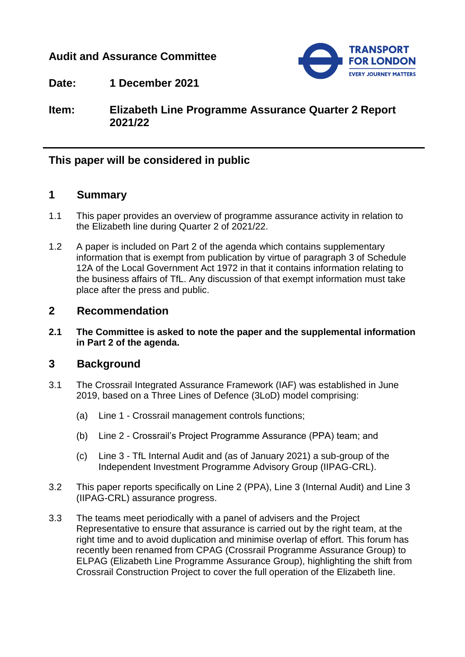## **Audit and Assurance Committee**



**Date: 1 December 2021**

**Item: Elizabeth Line Programme Assurance Quarter 2 Report 2021/22**

# **This paper will be considered in public**

### **1 Summary**

- 1.1 This paper provides an overview of programme assurance activity in relation to the Elizabeth line during Quarter 2 of 2021/22.
- 1.2 A paper is included on Part 2 of the agenda which contains supplementary information that is exempt from publication by virtue of paragraph 3 of Schedule 12A of the Local Government Act 1972 in that it contains information relating to the business affairs of TfL. Any discussion of that exempt information must take place after the press and public.

### **2 Recommendation**

**2.1 The Committee is asked to note the paper and the supplemental information in Part 2 of the agenda.**

### **3 Background**

- 3.1 The Crossrail Integrated Assurance Framework (IAF) was established in June 2019, based on a Three Lines of Defence (3LoD) model comprising:
	- (a) Line 1 Crossrail management controls functions;
	- (b) Line 2 Crossrail's Project Programme Assurance (PPA) team; and
	- (c) Line 3 TfL Internal Audit and (as of January 2021) a sub-group of the Independent Investment Programme Advisory Group (IIPAG-CRL).
- 3.2 This paper reports specifically on Line 2 (PPA), Line 3 (Internal Audit) and Line 3 (IIPAG-CRL) assurance progress.
- 3.3 The teams meet periodically with a panel of advisers and the Project Representative to ensure that assurance is carried out by the right team, at the right time and to avoid duplication and minimise overlap of effort. This forum has recently been renamed from CPAG (Crossrail Programme Assurance Group) to ELPAG (Elizabeth Line Programme Assurance Group), highlighting the shift from Crossrail Construction Project to cover the full operation of the Elizabeth line.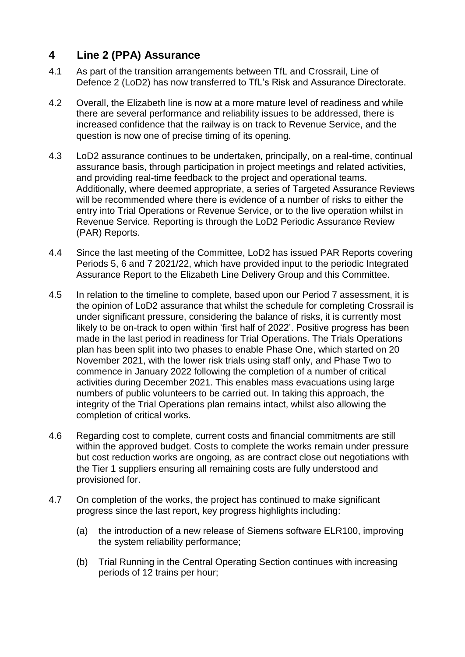# **4 Line 2 (PPA) Assurance**

- 4.1 As part of the transition arrangements between TfL and Crossrail, Line of Defence 2 (LoD2) has now transferred to TfL's Risk and Assurance Directorate.
- 4.2 Overall, the Elizabeth line is now at a more mature level of readiness and while there are several performance and reliability issues to be addressed, there is increased confidence that the railway is on track to Revenue Service, and the question is now one of precise timing of its opening.
- 4.3 LoD2 assurance continues to be undertaken, principally, on a real-time, continual assurance basis, through participation in project meetings and related activities, and providing real-time feedback to the project and operational teams. Additionally, where deemed appropriate, a series of Targeted Assurance Reviews will be recommended where there is evidence of a number of risks to either the entry into Trial Operations or Revenue Service, or to the live operation whilst in Revenue Service. Reporting is through the LoD2 Periodic Assurance Review (PAR) Reports.
- 4.4 Since the last meeting of the Committee, LoD2 has issued PAR Reports covering Periods 5, 6 and 7 2021/22, which have provided input to the periodic Integrated Assurance Report to the Elizabeth Line Delivery Group and this Committee.
- 4.5 In relation to the timeline to complete, based upon our Period 7 assessment, it is the opinion of LoD2 assurance that whilst the schedule for completing Crossrail is under significant pressure, considering the balance of risks, it is currently most likely to be on-track to open within 'first half of 2022'. Positive progress has been made in the last period in readiness for Trial Operations. The Trials Operations plan has been split into two phases to enable Phase One, which started on 20 November 2021, with the lower risk trials using staff only, and Phase Two to commence in January 2022 following the completion of a number of critical activities during December 2021. This enables mass evacuations using large numbers of public volunteers to be carried out. In taking this approach, the integrity of the Trial Operations plan remains intact, whilst also allowing the completion of critical works.
- 4.6 Regarding cost to complete, current costs and financial commitments are still within the approved budget. Costs to complete the works remain under pressure but cost reduction works are ongoing, as are contract close out negotiations with the Tier 1 suppliers ensuring all remaining costs are fully understood and provisioned for.
- 4.7 On completion of the works, the project has continued to make significant progress since the last report, key progress highlights including:
	- (a) the introduction of a new release of Siemens software ELR100, improving the system reliability performance;
	- (b) Trial Running in the Central Operating Section continues with increasing periods of 12 trains per hour;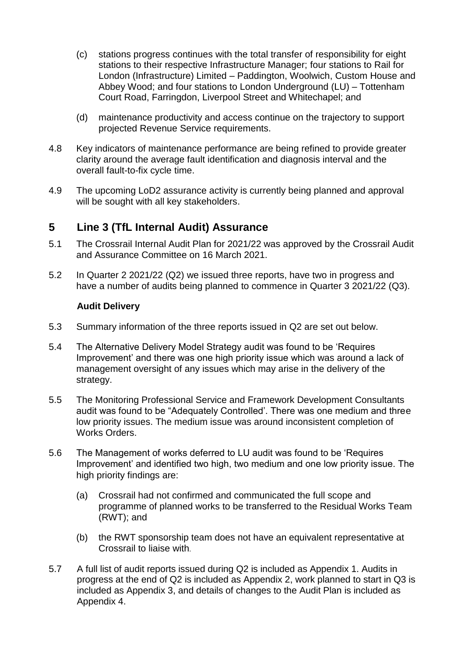- (c) stations progress continues with the total transfer of responsibility for eight stations to their respective Infrastructure Manager; four stations to Rail for London (Infrastructure) Limited – Paddington, Woolwich, Custom House and Abbey Wood; and four stations to London Underground (LU) – Tottenham Court Road, Farringdon, Liverpool Street and Whitechapel; and
- (d) maintenance productivity and access continue on the trajectory to support projected Revenue Service requirements.
- 4.8 Key indicators of maintenance performance are being refined to provide greater clarity around the average fault identification and diagnosis interval and the overall fault-to-fix cycle time.
- 4.9 The upcoming LoD2 assurance activity is currently being planned and approval will be sought with all key stakeholders.

## **5 Line 3 (TfL Internal Audit) Assurance**

- 5.1 The Crossrail Internal Audit Plan for 2021/22 was approved by the Crossrail Audit and Assurance Committee on 16 March 2021.
- 5.2 In Quarter 2 2021/22 (Q2) we issued three reports, have two in progress and have a number of audits being planned to commence in Quarter 3 2021/22 (Q3).

#### **Audit Delivery**

- 5.3 Summary information of the three reports issued in Q2 are set out below.
- 5.4 The Alternative Delivery Model Strategy audit was found to be 'Requires Improvement' and there was one high priority issue which was around a lack of management oversight of any issues which may arise in the delivery of the strategy.
- 5.5 The Monitoring Professional Service and Framework Development Consultants audit was found to be "Adequately Controlled'. There was one medium and three low priority issues. The medium issue was around inconsistent completion of Works Orders.
- 5.6 The Management of works deferred to LU audit was found to be 'Requires Improvement' and identified two high, two medium and one low priority issue. The high priority findings are:
	- (a) Crossrail had not confirmed and communicated the full scope and programme of planned works to be transferred to the Residual Works Team (RWT); and
	- (b) the RWT sponsorship team does not have an equivalent representative at Crossrail to liaise with.
- 5.7 A full list of audit reports issued during Q2 is included as Appendix 1. Audits in progress at the end of Q2 is included as Appendix 2, work planned to start in Q3 is included as Appendix 3, and details of changes to the Audit Plan is included as Appendix 4.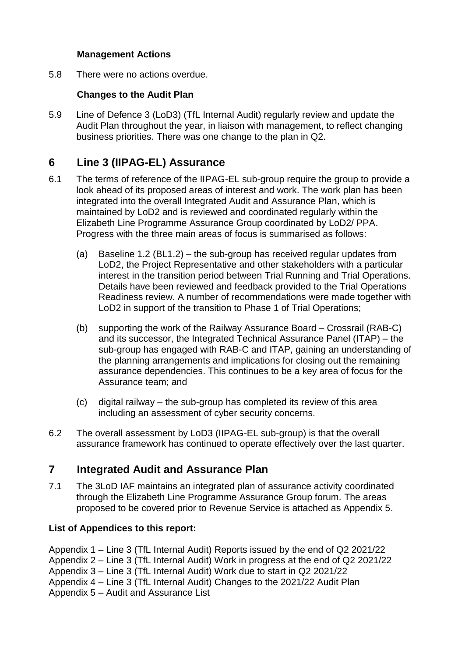### **Management Actions**

5.8 There were no actions overdue.

### **Changes to the Audit Plan**

5.9 Line of Defence 3 (LoD3) (TfL Internal Audit) regularly review and update the Audit Plan throughout the year, in liaison with management, to reflect changing business priorities. There was one change to the plan in Q2.

# **6 Line 3 (IIPAG-EL) Assurance**

- 6.1 The terms of reference of the IIPAG-EL sub-group require the group to provide a look ahead of its proposed areas of interest and work. The work plan has been integrated into the overall Integrated Audit and Assurance Plan, which is maintained by LoD2 and is reviewed and coordinated regularly within the Elizabeth Line Programme Assurance Group coordinated by LoD2/ PPA. Progress with the three main areas of focus is summarised as follows:
	- (a) Baseline 1.2 (BL1.2) the sub-group has received regular updates from LoD2, the Project Representative and other stakeholders with a particular interest in the transition period between Trial Running and Trial Operations. Details have been reviewed and feedback provided to the Trial Operations Readiness review. A number of recommendations were made together with LoD2 in support of the transition to Phase 1 of Trial Operations;
	- (b) supporting the work of the Railway Assurance Board Crossrail (RAB-C) and its successor, the Integrated Technical Assurance Panel (ITAP) – the sub-group has engaged with RAB-C and ITAP, gaining an understanding of the planning arrangements and implications for closing out the remaining assurance dependencies. This continues to be a key area of focus for the Assurance team; and
	- (c) digital railway the sub-group has completed its review of this area including an assessment of cyber security concerns.
- 6.2 The overall assessment by LoD3 (IIPAG-EL sub-group) is that the overall assurance framework has continued to operate effectively over the last quarter.

# **7 Integrated Audit and Assurance Plan**

7.1 The 3LoD IAF maintains an integrated plan of assurance activity coordinated through the Elizabeth Line Programme Assurance Group forum. The areas proposed to be covered prior to Revenue Service is attached as Appendix 5.

### **List of Appendices to this report:**

Appendix 1 – Line 3 (TfL Internal Audit) Reports issued by the end of Q2 2021/22 Appendix 2 – Line 3 (TfL Internal Audit) Work in progress at the end of Q2 2021/22 Appendix 3 – Line 3 (TfL Internal Audit) Work due to start in Q2 2021/22 Appendix 4 – Line 3 (TfL Internal Audit) Changes to the 2021/22 Audit Plan Appendix 5 – Audit and Assurance List